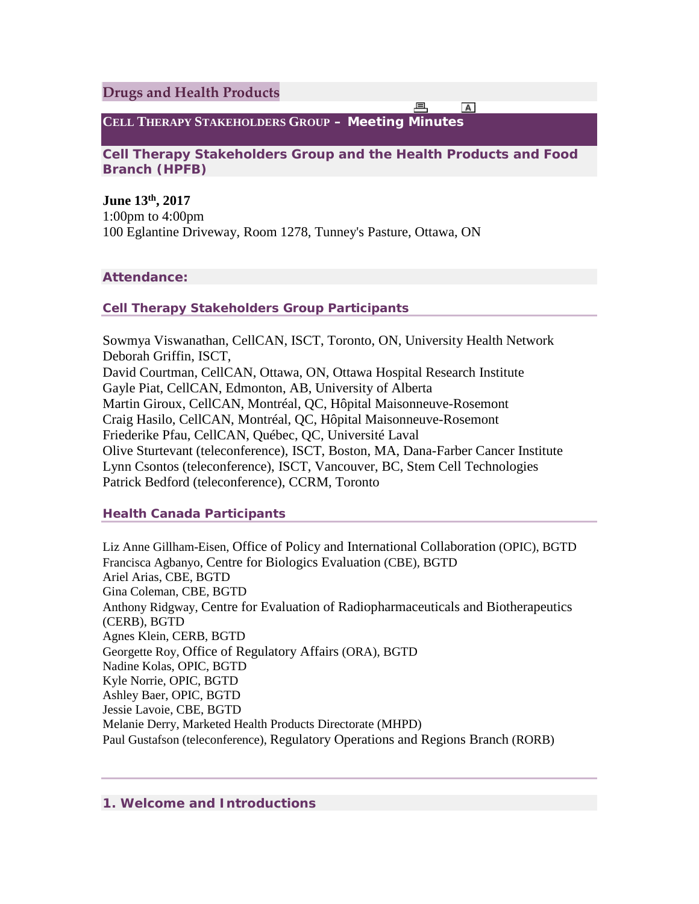## **Drugs and Health Products**

**CELL THERAPY STAKEHOLDERS GROUP – Meeting Minutes**

**Cell Therapy Stakeholders Group and the Health Products and Food Branch (HPFB)**

 $A$ 

**June 13th, 2017** 1:00pm to 4:00pm 100 Eglantine Driveway, Room 1278, Tunney's Pasture, Ottawa, ON

### **Attendance:**

### **Cell Therapy Stakeholders Group Participants**

Sowmya Viswanathan, CellCAN, ISCT, Toronto, ON, University Health Network Deborah Griffin, ISCT, David Courtman, CellCAN, Ottawa, ON, Ottawa Hospital Research Institute Gayle Piat, CellCAN, Edmonton, AB, University of Alberta Martin Giroux, CellCAN, Montréal, QC, Hôpital Maisonneuve-Rosemont Craig Hasilo, CellCAN, Montréal, QC, Hôpital Maisonneuve-Rosemont Friederike Pfau, CellCAN, Québec, QC, Université Laval Olive Sturtevant (teleconference), ISCT, Boston, MA, Dana-Farber Cancer Institute Lynn Csontos (teleconference), ISCT, Vancouver, BC, Stem Cell Technologies Patrick Bedford (teleconference), CCRM, Toronto

#### **Health Canada Participants**

Liz Anne Gillham-Eisen, Office of Policy and International Collaboration (OPIC), BGTD Francisca Agbanyo, Centre for Biologics Evaluation (CBE), BGTD Ariel Arias, CBE, BGTD Gina Coleman, CBE, BGTD Anthony Ridgway, Centre for Evaluation of Radiopharmaceuticals and Biotherapeutics (CERB), BGTD Agnes Klein, CERB, BGTD Georgette Roy, Office of Regulatory Affairs (ORA), BGTD Nadine Kolas, OPIC, BGTD Kyle Norrie, OPIC, BGTD Ashley Baer, OPIC, BGTD Jessie Lavoie, CBE, BGTD Melanie Derry, Marketed Health Products Directorate (MHPD) Paul Gustafson (teleconference), Regulatory Operations and Regions Branch (RORB)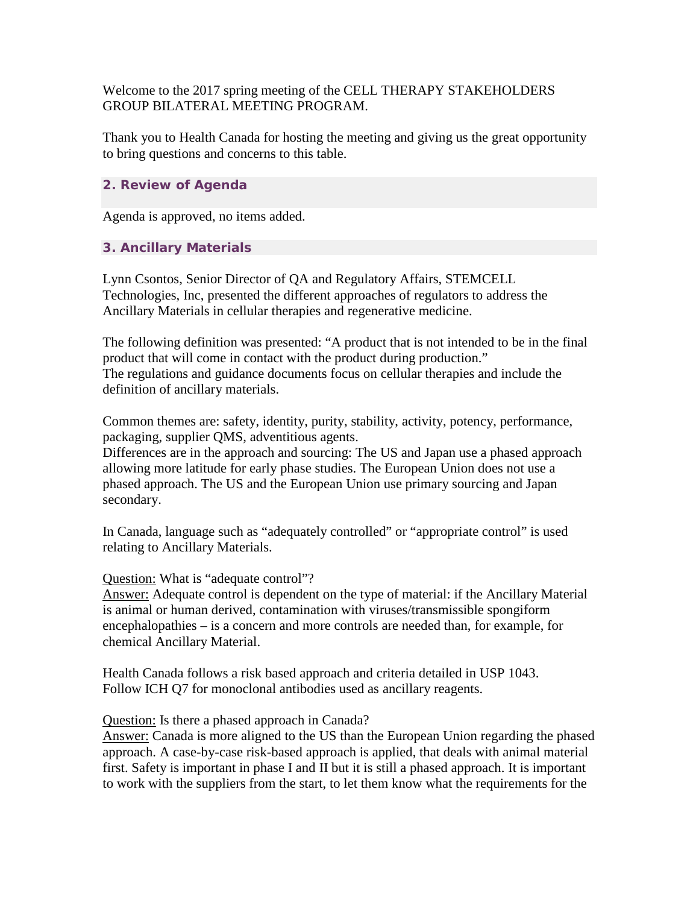Welcome to the 2017 spring meeting of the CELL THERAPY STAKEHOLDERS GROUP BILATERAL MEETING PROGRAM.

Thank you to Health Canada for hosting the meeting and giving us the great opportunity to bring questions and concerns to this table.

## **2. Review of Agenda**

Agenda is approved, no items added.

## **3. Ancillary Materials**

Lynn Csontos, Senior Director of QA and Regulatory Affairs, STEMCELL Technologies, Inc, presented the different approaches of regulators to address the Ancillary Materials in cellular therapies and regenerative medicine.

The following definition was presented: "A product that is not intended to be in the final product that will come in contact with the product during production." The regulations and guidance documents focus on cellular therapies and include the definition of ancillary materials.

Common themes are: safety, identity, purity, stability, activity, potency, performance, packaging, supplier QMS, adventitious agents.

Differences are in the approach and sourcing: The US and Japan use a phased approach allowing more latitude for early phase studies. The European Union does not use a phased approach. The US and the European Union use primary sourcing and Japan secondary.

In Canada, language such as "adequately controlled" or "appropriate control" is used relating to Ancillary Materials.

#### Question: What is "adequate control"?

Answer: Adequate control is dependent on the type of material: if the Ancillary Material is animal or human derived, contamination with viruses/transmissible spongiform encephalopathies – is a concern and more controls are needed than, for example, for chemical Ancillary Material.

Health Canada follows a risk based approach and criteria detailed in USP 1043. Follow ICH Q7 for monoclonal antibodies used as ancillary reagents.

### Question: Is there a phased approach in Canada?

Answer: Canada is more aligned to the US than the European Union regarding the phased approach. A case-by-case risk-based approach is applied, that deals with animal material first. Safety is important in phase I and II but it is still a phased approach. It is important to work with the suppliers from the start, to let them know what the requirements for the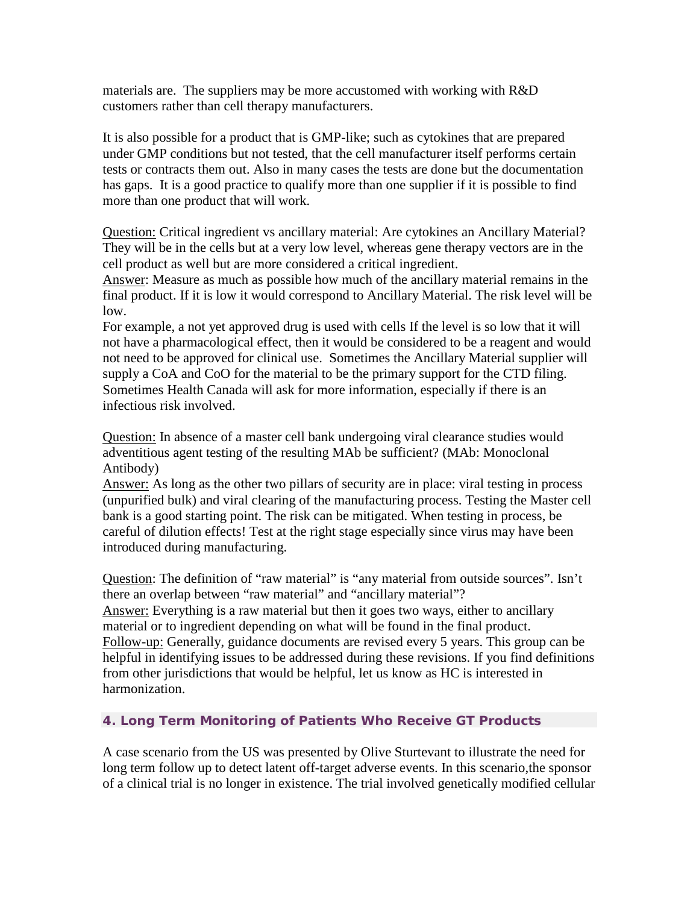materials are. The suppliers may be more accustomed with working with R&D customers rather than cell therapy manufacturers.

It is also possible for a product that is GMP-like; such as cytokines that are prepared under GMP conditions but not tested, that the cell manufacturer itself performs certain tests or contracts them out. Also in many cases the tests are done but the documentation has gaps. It is a good practice to qualify more than one supplier if it is possible to find more than one product that will work.

Question: Critical ingredient vs ancillary material: Are cytokines an Ancillary Material? They will be in the cells but at a very low level, whereas gene therapy vectors are in the cell product as well but are more considered a critical ingredient.

Answer: Measure as much as possible how much of the ancillary material remains in the final product. If it is low it would correspond to Ancillary Material. The risk level will be low.

For example, a not yet approved drug is used with cells If the level is so low that it will not have a pharmacological effect, then it would be considered to be a reagent and would not need to be approved for clinical use. Sometimes the Ancillary Material supplier will supply a CoA and CoO for the material to be the primary support for the CTD filing. Sometimes Health Canada will ask for more information, especially if there is an infectious risk involved.

Question: In absence of a master cell bank undergoing viral clearance studies would adventitious agent testing of the resulting MAb be sufficient? (MAb: Monoclonal Antibody)

Answer: As long as the other two pillars of security are in place: viral testing in process (unpurified bulk) and viral clearing of the manufacturing process. Testing the Master cell bank is a good starting point. The risk can be mitigated. When testing in process, be careful of dilution effects! Test at the right stage especially since virus may have been introduced during manufacturing.

Question: The definition of "raw material" is "any material from outside sources". Isn't there an overlap between "raw material" and "ancillary material"?

Answer: Everything is a raw material but then it goes two ways, either to ancillary material or to ingredient depending on what will be found in the final product. Follow-up: Generally, guidance documents are revised every 5 years. This group can be helpful in identifying issues to be addressed during these revisions. If you find definitions from other jurisdictions that would be helpful, let us know as HC is interested in harmonization.

# **4. Long Term Monitoring of Patients Who Receive GT Products**

A case scenario from the US was presented by Olive Sturtevant to illustrate the need for long term follow up to detect latent off-target adverse events. In this scenario,the sponsor of a clinical trial is no longer in existence. The trial involved genetically modified cellular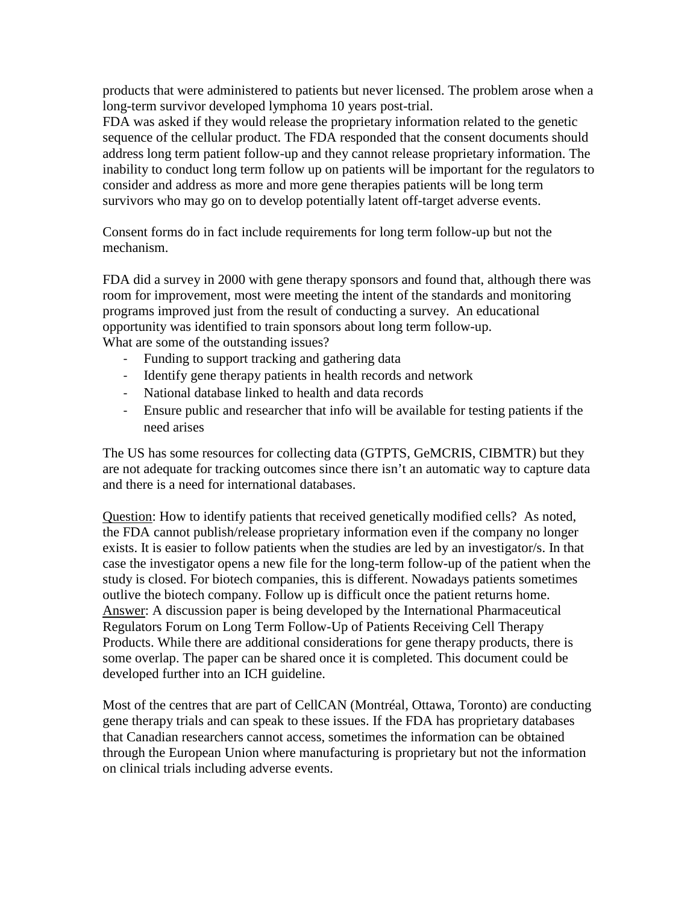products that were administered to patients but never licensed. The problem arose when a long-term survivor developed lymphoma 10 years post-trial.

FDA was asked if they would release the proprietary information related to the genetic sequence of the cellular product. The FDA responded that the consent documents should address long term patient follow-up and they cannot release proprietary information. The inability to conduct long term follow up on patients will be important for the regulators to consider and address as more and more gene therapies patients will be long term survivors who may go on to develop potentially latent off-target adverse events.

Consent forms do in fact include requirements for long term follow-up but not the mechanism.

FDA did a survey in 2000 with gene therapy sponsors and found that, although there was room for improvement, most were meeting the intent of the standards and monitoring programs improved just from the result of conducting a survey. An educational opportunity was identified to train sponsors about long term follow-up. What are some of the outstanding issues?

- Funding to support tracking and gathering data
- Identify gene therapy patients in health records and network
- National database linked to health and data records
- Ensure public and researcher that info will be available for testing patients if the need arises

The US has some resources for collecting data (GTPTS, GeMCRIS, CIBMTR) but they are not adequate for tracking outcomes since there isn't an automatic way to capture data and there is a need for international databases.

Question: How to identify patients that received genetically modified cells? As noted, the FDA cannot publish/release proprietary information even if the company no longer exists. It is easier to follow patients when the studies are led by an investigator/s. In that case the investigator opens a new file for the long-term follow-up of the patient when the study is closed. For biotech companies, this is different. Nowadays patients sometimes outlive the biotech company. Follow up is difficult once the patient returns home. Answer: A discussion paper is being developed by the International Pharmaceutical Regulators Forum on Long Term Follow-Up of Patients Receiving Cell Therapy Products. While there are additional considerations for gene therapy products, there is some overlap. The paper can be shared once it is completed. This document could be developed further into an ICH guideline.

Most of the centres that are part of CellCAN (Montréal, Ottawa, Toronto) are conducting gene therapy trials and can speak to these issues. If the FDA has proprietary databases that Canadian researchers cannot access, sometimes the information can be obtained through the European Union where manufacturing is proprietary but not the information on clinical trials including adverse events.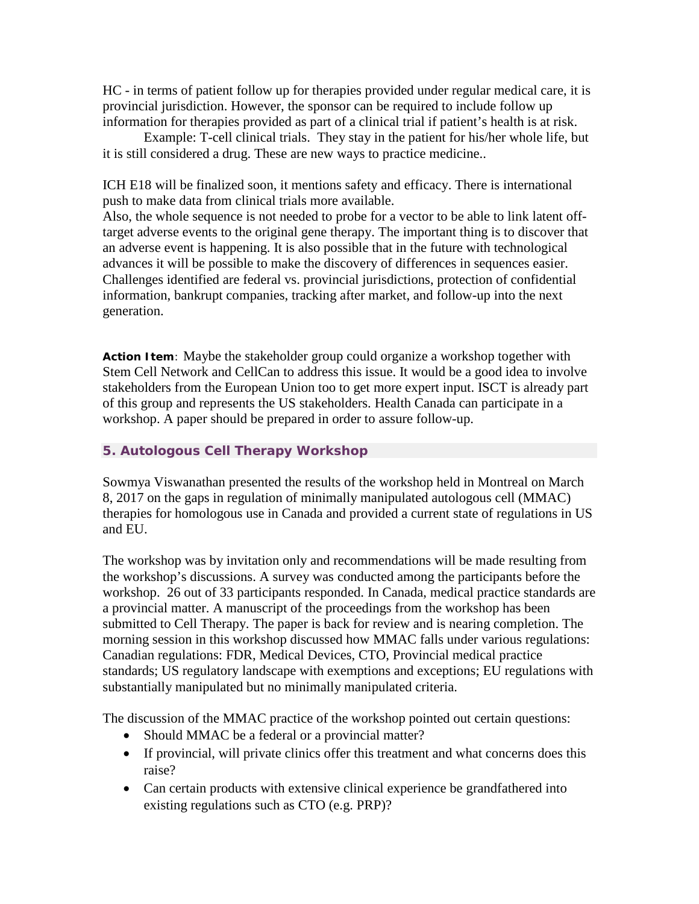HC - in terms of patient follow up for therapies provided under regular medical care, it is provincial jurisdiction. However, the sponsor can be required to include follow up information for therapies provided as part of a clinical trial if patient's health is at risk.

Example: T-cell clinical trials. They stay in the patient for his/her whole life, but it is still considered a drug. These are new ways to practice medicine..

ICH E18 will be finalized soon, it mentions safety and efficacy. There is international push to make data from clinical trials more available.

Also, the whole sequence is not needed to probe for a vector to be able to link latent offtarget adverse events to the original gene therapy. The important thing is to discover that an adverse event is happening. It is also possible that in the future with technological advances it will be possible to make the discovery of differences in sequences easier. Challenges identified are federal vs. provincial jurisdictions, protection of confidential information, bankrupt companies, tracking after market, and follow-up into the next generation.

**Action Item**: Maybe the stakeholder group could organize a workshop together with Stem Cell Network and CellCan to address this issue. It would be a good idea to involve stakeholders from the European Union too to get more expert input. ISCT is already part of this group and represents the US stakeholders. Health Canada can participate in a workshop. A paper should be prepared in order to assure follow-up.

# **5. Autologous Cell Therapy Workshop**

Sowmya Viswanathan presented the results of the workshop held in Montreal on March 8, 2017 on the gaps in regulation of minimally manipulated autologous cell (MMAC) therapies for homologous use in Canada and provided a current state of regulations in US and EU.

The workshop was by invitation only and recommendations will be made resulting from the workshop's discussions. A survey was conducted among the participants before the workshop. 26 out of 33 participants responded. In Canada, medical practice standards are a provincial matter. A manuscript of the proceedings from the workshop has been submitted to Cell Therapy. The paper is back for review and is nearing completion. The morning session in this workshop discussed how MMAC falls under various regulations: Canadian regulations: FDR, Medical Devices, CTO, Provincial medical practice standards; US regulatory landscape with exemptions and exceptions; EU regulations with substantially manipulated but no minimally manipulated criteria.

The discussion of the MMAC practice of the workshop pointed out certain questions:

- Should MMAC be a federal or a provincial matter?
- If provincial, will private clinics offer this treatment and what concerns does this raise?
- Can certain products with extensive clinical experience be grandfathered into existing regulations such as CTO (e.g. PRP)?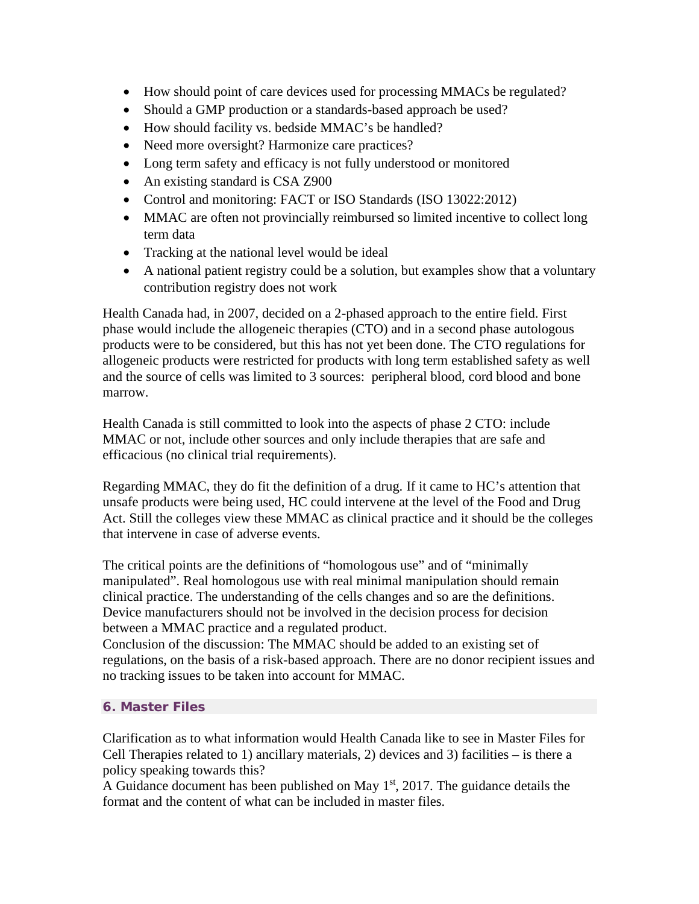- How should point of care devices used for processing MMACs be regulated?
- Should a GMP production or a standards-based approach be used?
- How should facility vs. bedside MMAC's be handled?
- Need more oversight? Harmonize care practices?
- Long term safety and efficacy is not fully understood or monitored
- An existing standard is CSA Z900
- Control and monitoring: FACT or ISO Standards (ISO 13022:2012)
- MMAC are often not provincially reimbursed so limited incentive to collect long term data
- Tracking at the national level would be ideal
- A national patient registry could be a solution, but examples show that a voluntary contribution registry does not work

Health Canada had, in 2007, decided on a 2-phased approach to the entire field. First phase would include the allogeneic therapies (CTO) and in a second phase autologous products were to be considered, but this has not yet been done. The CTO regulations for allogeneic products were restricted for products with long term established safety as well and the source of cells was limited to 3 sources: peripheral blood, cord blood and bone marrow.

Health Canada is still committed to look into the aspects of phase 2 CTO: include MMAC or not, include other sources and only include therapies that are safe and efficacious (no clinical trial requirements).

Regarding MMAC, they do fit the definition of a drug. If it came to HC's attention that unsafe products were being used, HC could intervene at the level of the Food and Drug Act. Still the colleges view these MMAC as clinical practice and it should be the colleges that intervene in case of adverse events.

The critical points are the definitions of "homologous use" and of "minimally manipulated". Real homologous use with real minimal manipulation should remain clinical practice. The understanding of the cells changes and so are the definitions. Device manufacturers should not be involved in the decision process for decision between a MMAC practice and a regulated product.

Conclusion of the discussion: The MMAC should be added to an existing set of regulations, on the basis of a risk-based approach. There are no donor recipient issues and no tracking issues to be taken into account for MMAC.

# **6. Master Files**

Clarification as to what information would Health Canada like to see in Master Files for Cell Therapies related to 1) ancillary materials, 2) devices and 3) facilities – is there a policy speaking towards this?

A Guidance document has been published on May  $1<sup>st</sup>$ , 2017. The guidance details the format and the content of what can be included in master files.